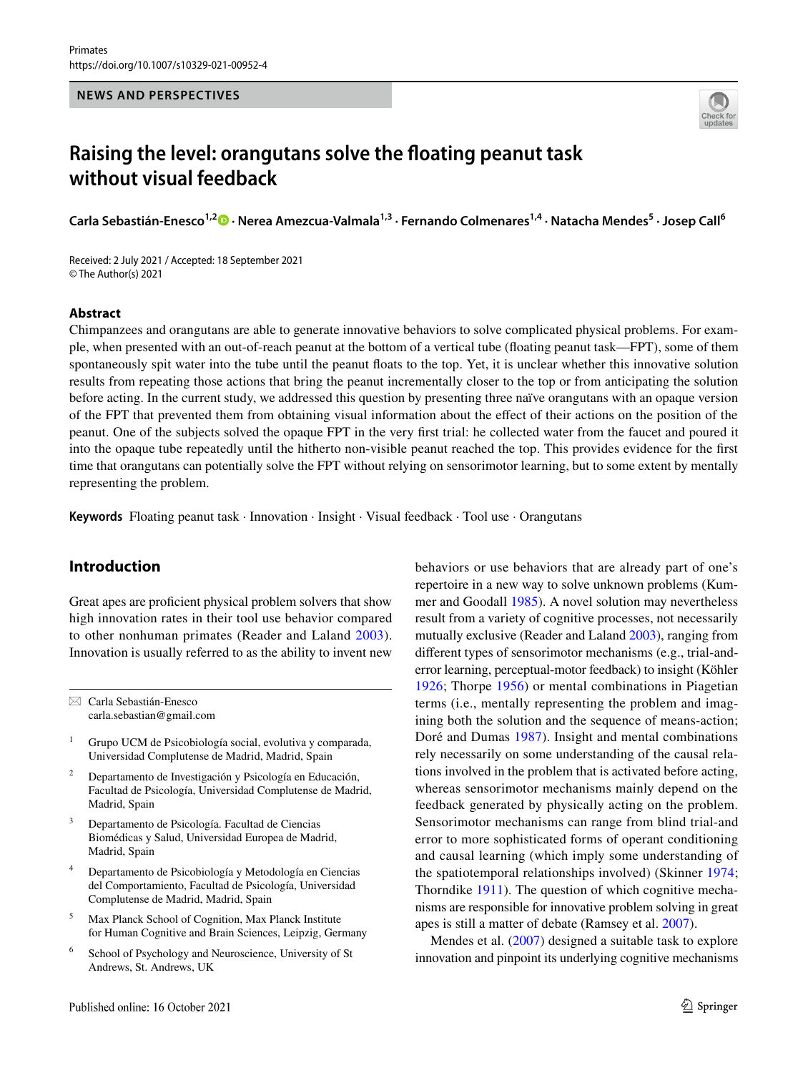

# **Raising the level: orangutans solve the foating peanut task without visual feedback**

Carla Sebastián-Enesco<sup>1,2</sup><sup>0</sup> [·](http://orcid.org/0000-0001-7340-0038) Nerea Amezcua-Valmala<sup>1,3</sup> · Fernando Colmenares<sup>1,4</sup> · Natacha Mendes<sup>5</sup> · Josep Call<sup>6</sup>

Received: 2 July 2021 / Accepted: 18 September 2021 © The Author(s) 2021

### **Abstract**

Chimpanzees and orangutans are able to generate innovative behaviors to solve complicated physical problems. For example, when presented with an out-of-reach peanut at the bottom of a vertical tube (foating peanut task—FPT), some of them spontaneously spit water into the tube until the peanut foats to the top. Yet, it is unclear whether this innovative solution results from repeating those actions that bring the peanut incrementally closer to the top or from anticipating the solution before acting. In the current study, we addressed this question by presenting three naïve orangutans with an opaque version of the FPT that prevented them from obtaining visual information about the efect of their actions on the position of the peanut. One of the subjects solved the opaque FPT in the very frst trial: he collected water from the faucet and poured it into the opaque tube repeatedly until the hitherto non-visible peanut reached the top. This provides evidence for the frst time that orangutans can potentially solve the FPT without relying on sensorimotor learning, but to some extent by mentally representing the problem.

**Keywords** Floating peanut task · Innovation · Insight · Visual feedback · Tool use · Orangutans

# **Introduction**

Great apes are profcient physical problem solvers that show high innovation rates in their tool use behavior compared to other nonhuman primates (Reader and Laland [2003](#page-6-0)). Innovation is usually referred to as the ability to invent new

 $\boxtimes$  Carla Sebastián-Enesco carla.sebastian@gmail.com

- <sup>2</sup> Departamento de Investigación y Psicología en Educación, Facultad de Psicología, Universidad Complutense de Madrid, Madrid, Spain
- <sup>3</sup> Departamento de Psicología. Facultad de Ciencias Biomédicas y Salud, Universidad Europea de Madrid, Madrid, Spain
- <sup>4</sup> Departamento de Psicobiología y Metodología en Ciencias del Comportamiento, Facultad de Psicología, Universidad Complutense de Madrid, Madrid, Spain
- <sup>5</sup> Max Planck School of Cognition, Max Planck Institute for Human Cognitive and Brain Sciences, Leipzig, Germany
- <sup>6</sup> School of Psychology and Neuroscience, University of St Andrews, St. Andrews, UK

behaviors or use behaviors that are already part of one's repertoire in a new way to solve unknown problems (Kummer and Goodall [1985\)](#page-6-1). A novel solution may nevertheless result from a variety of cognitive processes, not necessarily mutually exclusive (Reader and Laland [2003\)](#page-6-0), ranging from diferent types of sensorimotor mechanisms (e.g., trial-anderror learning, perceptual-motor feedback) to insight (Köhler [1926;](#page-5-0) Thorpe [1956\)](#page-6-2) or mental combinations in Piagetian terms (i.e., mentally representing the problem and imagining both the solution and the sequence of means-action; Doré and Dumas [1987\)](#page-5-1). Insight and mental combinations rely necessarily on some understanding of the causal relations involved in the problem that is activated before acting, whereas sensorimotor mechanisms mainly depend on the feedback generated by physically acting on the problem. Sensorimotor mechanisms can range from blind trial-and error to more sophisticated forms of operant conditioning and causal learning (which imply some understanding of the spatiotemporal relationships involved) (Skinner [1974](#page-6-3); Thorndike [1911](#page-6-4)). The question of which cognitive mechanisms are responsible for innovative problem solving in great apes is still a matter of debate (Ramsey et al. [2007](#page-6-5)).

Mendes et al. [\(2007](#page-6-6)) designed a suitable task to explore innovation and pinpoint its underlying cognitive mechanisms

<sup>1</sup> Grupo UCM de Psicobiología social, evolutiva y comparada, Universidad Complutense de Madrid, Madrid, Spain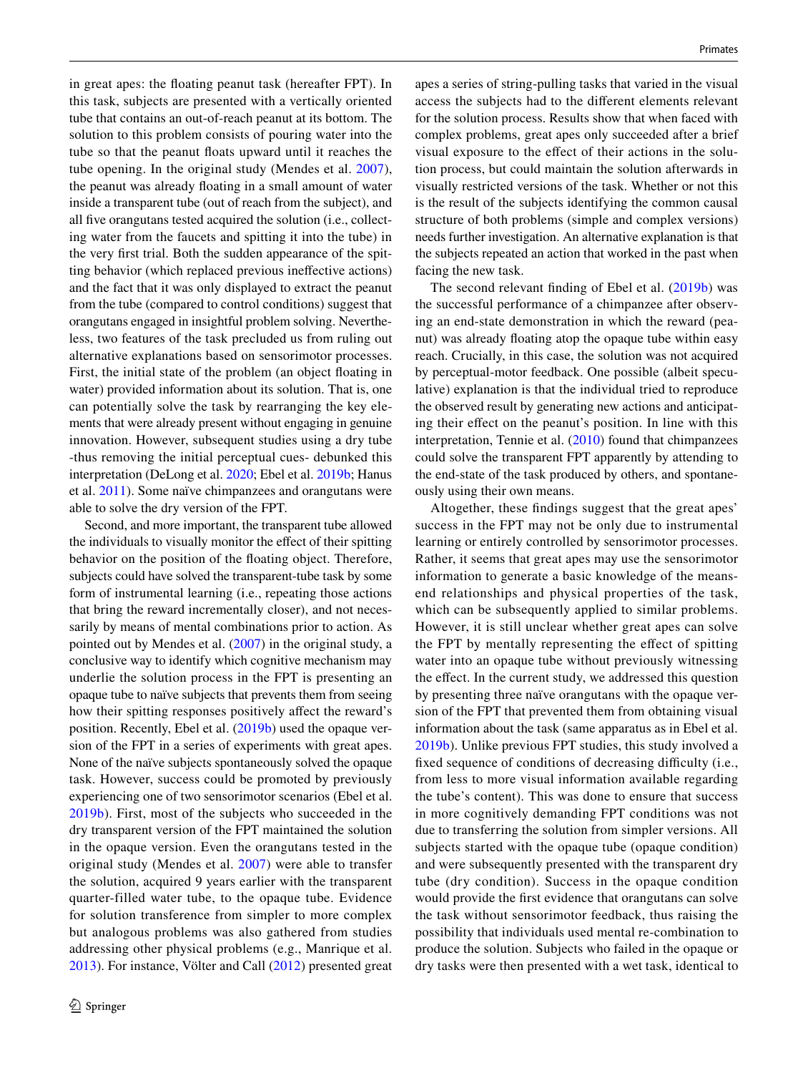in great apes: the foating peanut task (hereafter FPT). In this task, subjects are presented with a vertically oriented tube that contains an out-of-reach peanut at its bottom. The solution to this problem consists of pouring water into the tube so that the peanut foats upward until it reaches the tube opening. In the original study (Mendes et al. [2007](#page-6-6)), the peanut was already foating in a small amount of water inside a transparent tube (out of reach from the subject), and all fve orangutans tested acquired the solution (i.e., collecting water from the faucets and spitting it into the tube) in the very frst trial. Both the sudden appearance of the spitting behavior (which replaced previous inefective actions) and the fact that it was only displayed to extract the peanut from the tube (compared to control conditions) suggest that orangutans engaged in insightful problem solving. Nevertheless, two features of the task precluded us from ruling out alternative explanations based on sensorimotor processes. First, the initial state of the problem (an object foating in water) provided information about its solution. That is, one can potentially solve the task by rearranging the key elements that were already present without engaging in genuine innovation. However, subsequent studies using a dry tube -thus removing the initial perceptual cues- debunked this interpretation (DeLong et al. [2020;](#page-5-2) Ebel et al. [2019b;](#page-5-3) Hanus et al. [2011](#page-5-4)). Some naïve chimpanzees and orangutans were able to solve the dry version of the FPT.

Second, and more important, the transparent tube allowed the individuals to visually monitor the efect of their spitting behavior on the position of the foating object. Therefore, subjects could have solved the transparent-tube task by some form of instrumental learning (i.e., repeating those actions that bring the reward incrementally closer), and not necessarily by means of mental combinations prior to action. As pointed out by Mendes et al. [\(2007](#page-6-6)) in the original study, a conclusive way to identify which cognitive mechanism may underlie the solution process in the FPT is presenting an opaque tube to naïve subjects that prevents them from seeing how their spitting responses positively affect the reward's position. Recently, Ebel et al. ([2019b](#page-5-3)) used the opaque version of the FPT in a series of experiments with great apes. None of the naïve subjects spontaneously solved the opaque task. However, success could be promoted by previously experiencing one of two sensorimotor scenarios (Ebel et al. [2019b\)](#page-5-3). First, most of the subjects who succeeded in the dry transparent version of the FPT maintained the solution in the opaque version. Even the orangutans tested in the original study (Mendes et al. [2007](#page-6-6)) were able to transfer the solution, acquired 9 years earlier with the transparent quarter-filled water tube, to the opaque tube. Evidence for solution transference from simpler to more complex but analogous problems was also gathered from studies addressing other physical problems (e.g., Manrique et al. [2013](#page-6-7)). For instance, Völter and Call ([2012\)](#page-6-8) presented great apes a series of string-pulling tasks that varied in the visual access the subjects had to the diferent elements relevant for the solution process. Results show that when faced with complex problems, great apes only succeeded after a brief visual exposure to the efect of their actions in the solution process, but could maintain the solution afterwards in visually restricted versions of the task. Whether or not this is the result of the subjects identifying the common causal structure of both problems (simple and complex versions) needs further investigation. An alternative explanation is that the subjects repeated an action that worked in the past when facing the new task.

The second relevant fnding of Ebel et al. ([2019b](#page-5-3)) was the successful performance of a chimpanzee after observing an end-state demonstration in which the reward (peanut) was already foating atop the opaque tube within easy reach. Crucially, in this case, the solution was not acquired by perceptual-motor feedback. One possible (albeit speculative) explanation is that the individual tried to reproduce the observed result by generating new actions and anticipating their effect on the peanut's position. In line with this interpretation, Tennie et al. [\(2010](#page-6-9)) found that chimpanzees could solve the transparent FPT apparently by attending to the end-state of the task produced by others, and spontaneously using their own means.

Altogether, these fndings suggest that the great apes' success in the FPT may not be only due to instrumental learning or entirely controlled by sensorimotor processes. Rather, it seems that great apes may use the sensorimotor information to generate a basic knowledge of the meansend relationships and physical properties of the task, which can be subsequently applied to similar problems. However, it is still unclear whether great apes can solve the FPT by mentally representing the efect of spitting water into an opaque tube without previously witnessing the effect. In the current study, we addressed this question by presenting three naïve orangutans with the opaque version of the FPT that prevented them from obtaining visual information about the task (same apparatus as in Ebel et al. [2019b\)](#page-5-3). Unlike previous FPT studies, this study involved a fixed sequence of conditions of decreasing difficulty (i.e., from less to more visual information available regarding the tube's content). This was done to ensure that success in more cognitively demanding FPT conditions was not due to transferring the solution from simpler versions. All subjects started with the opaque tube (opaque condition) and were subsequently presented with the transparent dry tube (dry condition). Success in the opaque condition would provide the frst evidence that orangutans can solve the task without sensorimotor feedback, thus raising the possibility that individuals used mental re-combination to produce the solution. Subjects who failed in the opaque or dry tasks were then presented with a wet task, identical to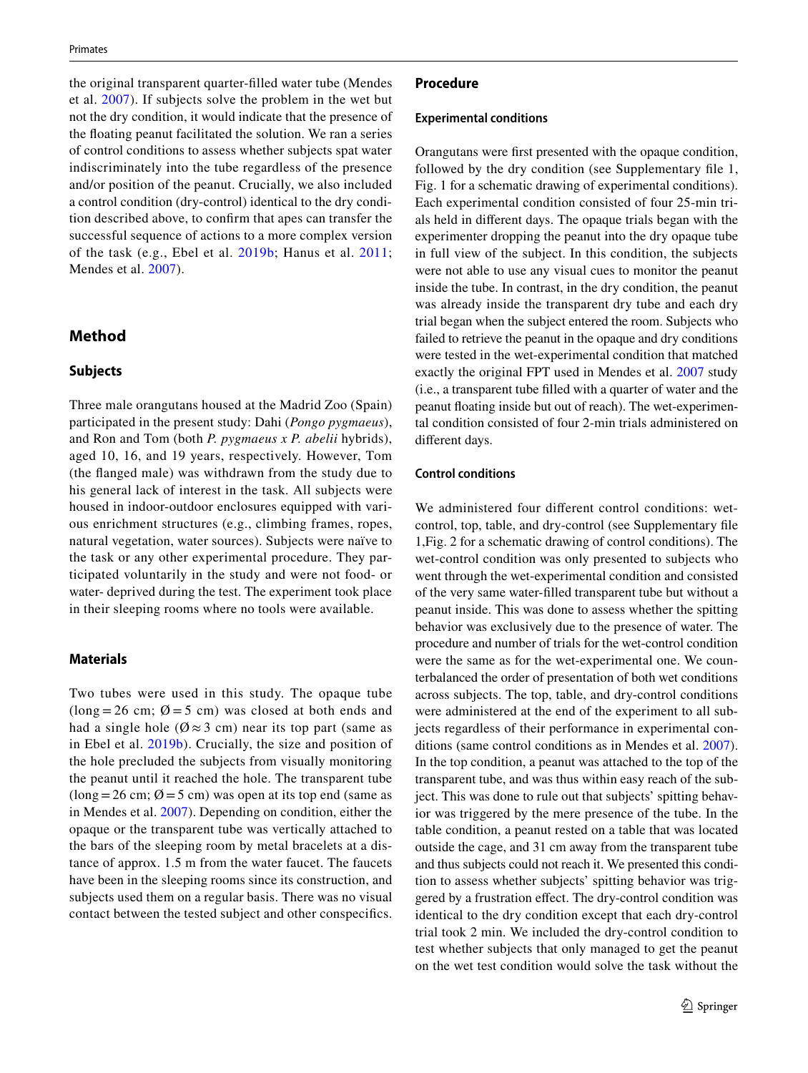the original transparent quarter-flled water tube (Mendes et al. [2007\)](#page-6-6). If subjects solve the problem in the wet but not the dry condition, it would indicate that the presence of the foating peanut facilitated the solution. We ran a series of control conditions to assess whether subjects spat water indiscriminately into the tube regardless of the presence and/or position of the peanut. Crucially, we also included a control condition (dry-control) identical to the dry condition described above, to confrm that apes can transfer the successful sequence of actions to a more complex version of the task (e.g., Ebel et al. [2019b](#page-5-3); Hanus et al. [2011](#page-5-4); Mendes et al. [2007](#page-6-6)).

## **Method**

## **Subjects**

Three male orangutans housed at the Madrid Zoo (Spain) participated in the present study: Dahi (*Pongo pygmaeus*), and Ron and Tom (both *P. pygmaeus x P. abelii* hybrids), aged 10, 16, and 19 years, respectively. However, Tom (the fanged male) was withdrawn from the study due to his general lack of interest in the task. All subjects were housed in indoor-outdoor enclosures equipped with various enrichment structures (e.g., climbing frames, ropes, natural vegetation, water sources). Subjects were naïve to the task or any other experimental procedure. They participated voluntarily in the study and were not food- or water- deprived during the test. The experiment took place in their sleeping rooms where no tools were available.

## **Materials**

Two tubes were used in this study. The opaque tube  $(long = 26 cm; \emptyset = 5 cm)$  was closed at both ends and had a single hole ( $\emptyset \approx 3$  cm) near its top part (same as in Ebel et al. [2019b](#page-5-3)). Crucially, the size and position of the hole precluded the subjects from visually monitoring the peanut until it reached the hole. The transparent tube  $(\text{long} = 26 \text{ cm}; \emptyset = 5 \text{ cm})$  was open at its top end (same as in Mendes et al. [2007\)](#page-6-6). Depending on condition, either the opaque or the transparent tube was vertically attached to the bars of the sleeping room by metal bracelets at a distance of approx. 1.5 m from the water faucet. The faucets have been in the sleeping rooms since its construction, and subjects used them on a regular basis. There was no visual contact between the tested subject and other conspecifcs.

#### **Procedure**

#### **Experimental conditions**

Orangutans were frst presented with the opaque condition, followed by the dry condition (see Supplementary file 1, Fig. 1 for a schematic drawing of experimental conditions). Each experimental condition consisted of four 25-min trials held in diferent days. The opaque trials began with the experimenter dropping the peanut into the dry opaque tube in full view of the subject. In this condition, the subjects were not able to use any visual cues to monitor the peanut inside the tube. In contrast, in the dry condition, the peanut was already inside the transparent dry tube and each dry trial began when the subject entered the room. Subjects who failed to retrieve the peanut in the opaque and dry conditions were tested in the wet-experimental condition that matched exactly the original FPT used in Mendes et al. [2007](#page-6-6) study (i.e., a transparent tube flled with a quarter of water and the peanut foating inside but out of reach). The wet-experimental condition consisted of four 2-min trials administered on diferent days.

## **Control conditions**

We administered four diferent control conditions: wetcontrol, top, table, and dry-control (see Supplementary fle 1,Fig. 2 for a schematic drawing of control conditions). The wet-control condition was only presented to subjects who went through the wet-experimental condition and consisted of the very same water-flled transparent tube but without a peanut inside. This was done to assess whether the spitting behavior was exclusively due to the presence of water. The procedure and number of trials for the wet-control condition were the same as for the wet-experimental one. We counterbalanced the order of presentation of both wet conditions across subjects. The top, table, and dry-control conditions were administered at the end of the experiment to all subjects regardless of their performance in experimental conditions (same control conditions as in Mendes et al. [2007](#page-6-6)). In the top condition, a peanut was attached to the top of the transparent tube, and was thus within easy reach of the subject. This was done to rule out that subjects' spitting behavior was triggered by the mere presence of the tube. In the table condition, a peanut rested on a table that was located outside the cage, and 31 cm away from the transparent tube and thus subjects could not reach it. We presented this condition to assess whether subjects' spitting behavior was triggered by a frustration effect. The dry-control condition was identical to the dry condition except that each dry-control trial took 2 min. We included the dry-control condition to test whether subjects that only managed to get the peanut on the wet test condition would solve the task without the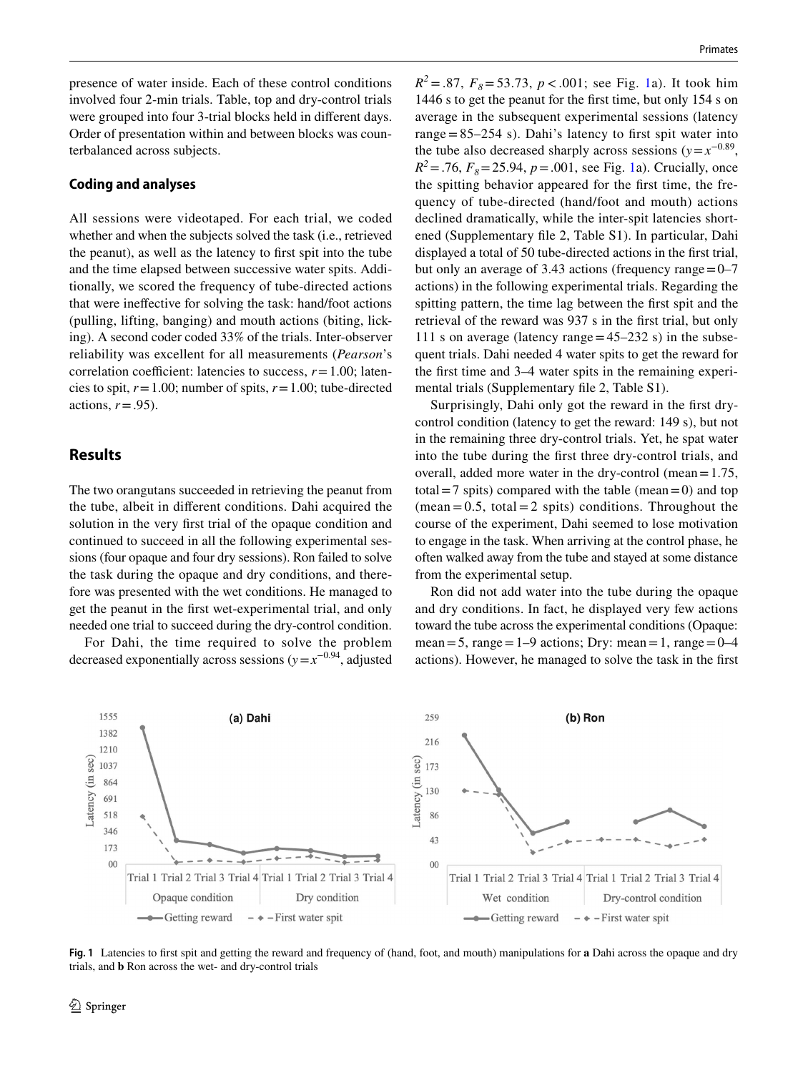presence of water inside. Each of these control conditions involved four 2-min trials. Table, top and dry-control trials were grouped into four 3-trial blocks held in diferent days. Order of presentation within and between blocks was counterbalanced across subjects.

### **Coding and analyses**

All sessions were videotaped. For each trial, we coded whether and when the subjects solved the task (i.e., retrieved the peanut), as well as the latency to frst spit into the tube and the time elapsed between successive water spits. Additionally, we scored the frequency of tube-directed actions that were inefective for solving the task: hand/foot actions (pulling, lifting, banging) and mouth actions (biting, licking). A second coder coded 33% of the trials. Inter-observer reliability was excellent for all measurements (*Pearson*'s correlation coefficient: latencies to success,  $r = 1.00$ ; latencies to spit,  $r = 1.00$ ; number of spits,  $r = 1.00$ ; tube-directed actions,  $r = .95$ ).

## **Results**

The two orangutans succeeded in retrieving the peanut from the tube, albeit in diferent conditions. Dahi acquired the solution in the very frst trial of the opaque condition and continued to succeed in all the following experimental sessions (four opaque and four dry sessions). Ron failed to solve the task during the opaque and dry conditions, and therefore was presented with the wet conditions. He managed to get the peanut in the frst wet-experimental trial, and only needed one trial to succeed during the dry-control condition.

For Dahi, the time required to solve the problem decreased exponentially across sessions ( $y=x^{-0.94}$ , adjusted

 $R^2 = .87$ ,  $F_8 = 53.73$ ,  $p < .001$  $p < .001$ ; see Fig. 1a). It took him 1446 s to get the peanut for the frst time, but only 154 s on average in the subsequent experimental sessions (latency range  $= 85-254$  s). Dahi's latency to first spit water into the tube also decreased sharply across sessions ( $y=x^{-0.89}$ ,  $R^2 = .76$ ,  $F_8 = 25.94$ ,  $p = .001$ , see Fig. [1a](#page-3-0)). Crucially, once the spitting behavior appeared for the frst time, the frequency of tube-directed (hand/foot and mouth) actions declined dramatically, while the inter-spit latencies shortened (Supplementary fle 2, Table S1). In particular, Dahi displayed a total of 50 tube-directed actions in the frst trial, but only an average of 3.43 actions (frequency range  $=0$ –7 actions) in the following experimental trials. Regarding the spitting pattern, the time lag between the frst spit and the retrieval of the reward was 937 s in the frst trial, but only 111 s on average (latency range  $=45-232$  s) in the subsequent trials. Dahi needed 4 water spits to get the reward for the frst time and 3–4 water spits in the remaining experimental trials (Supplementary fle 2, Table S1).

Surprisingly, Dahi only got the reward in the first drycontrol condition (latency to get the reward: 149 s), but not in the remaining three dry-control trials. Yet, he spat water into the tube during the frst three dry-control trials, and overall, added more water in the dry-control (mean=1.75, total = 7 spits) compared with the table (mean = 0) and top  $(\text{mean} = 0.5, \text{ total} = 2 \text{ spits})$  conditions. Throughout the course of the experiment, Dahi seemed to lose motivation to engage in the task. When arriving at the control phase, he often walked away from the tube and stayed at some distance from the experimental setup.

Ron did not add water into the tube during the opaque and dry conditions. In fact, he displayed very few actions toward the tube across the experimental conditions (Opaque: mean = 5, range =  $1-9$  actions; Dry: mean = 1, range =  $0-4$ actions). However, he managed to solve the task in the frst



<span id="page-3-0"></span>**Fig. 1** Latencies to frst spit and getting the reward and frequency of (hand, foot, and mouth) manipulations for **a** Dahi across the opaque and dry trials, and **b** Ron across the wet- and dry-control trials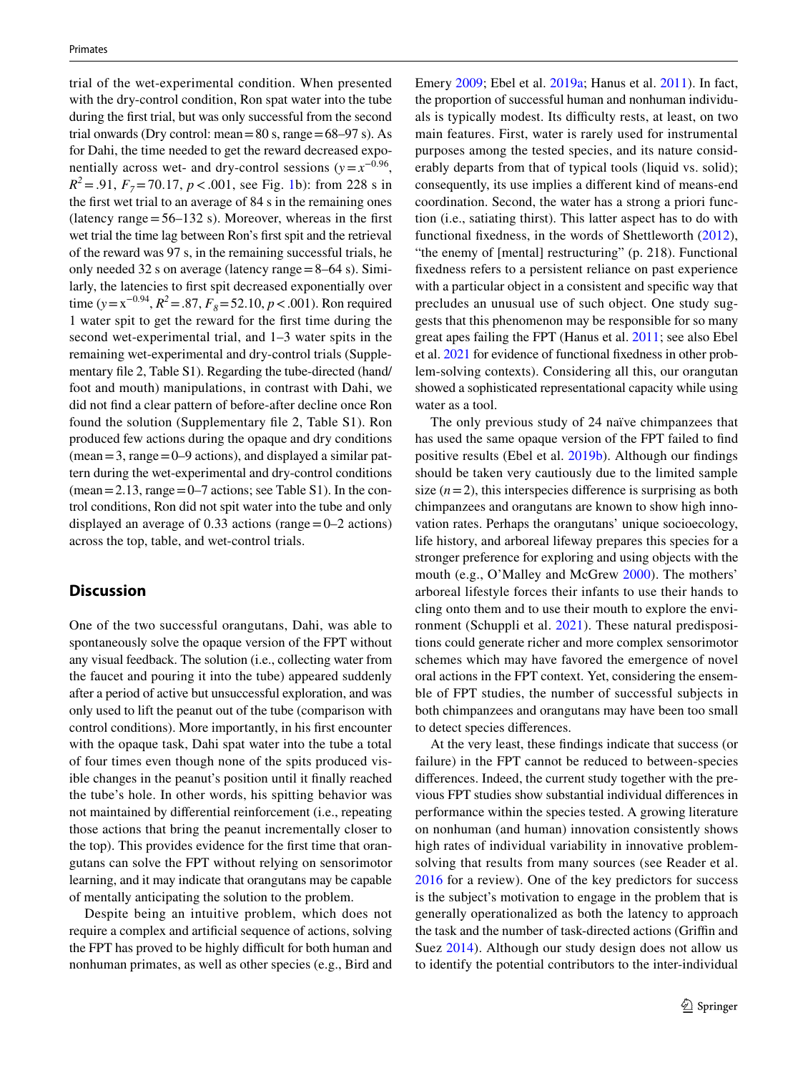trial of the wet-experimental condition. When presented with the dry-control condition, Ron spat water into the tube during the frst trial, but was only successful from the second trial onwards (Dry control: mean =  $80 \text{ s}$ , range =  $68-97 \text{ s}$ ). As for Dahi, the time needed to get the reward decreased exponentially across wet- and dry-control sessions ( $y = x^{-0.96}$ ,  $R^2 = .91$ ,  $F_7 = 70.17$ ,  $p < .001$ , see Fig. [1b](#page-3-0)): from 228 s in the frst wet trial to an average of 84 s in the remaining ones (latency range  $=$  56–132 s). Moreover, whereas in the first wet trial the time lag between Ron's frst spit and the retrieval of the reward was 97 s, in the remaining successful trials, he only needed 32 s on average (latency range=8–64 s). Similarly, the latencies to frst spit decreased exponentially over time ( $y = x^{-0.94}$ ,  $R^2 = .87$ ,  $F_8 = 52.10$ ,  $p < .001$ ). Ron required 1 water spit to get the reward for the frst time during the second wet-experimental trial, and 1–3 water spits in the remaining wet-experimental and dry-control trials (Supplementary fle 2, Table S1). Regarding the tube-directed (hand/ foot and mouth) manipulations, in contrast with Dahi, we did not fnd a clear pattern of before-after decline once Ron found the solution (Supplementary fle 2, Table S1). Ron produced few actions during the opaque and dry conditions  $(mean=3, range=0-9$  actions), and displayed a similar pattern during the wet-experimental and dry-control conditions (mean  $= 2.13$ , range  $= 0-7$  actions; see Table S1). In the control conditions, Ron did not spit water into the tube and only displayed an average of  $0.33$  actions (range  $=0-2$  actions) across the top, table, and wet-control trials.

## **Discussion**

One of the two successful orangutans, Dahi, was able to spontaneously solve the opaque version of the FPT without any visual feedback. The solution (i.e., collecting water from the faucet and pouring it into the tube) appeared suddenly after a period of active but unsuccessful exploration, and was only used to lift the peanut out of the tube (comparison with control conditions). More importantly, in his frst encounter with the opaque task, Dahi spat water into the tube a total of four times even though none of the spits produced visible changes in the peanut's position until it fnally reached the tube's hole. In other words, his spitting behavior was not maintained by diferential reinforcement (i.e., repeating those actions that bring the peanut incrementally closer to the top). This provides evidence for the frst time that orangutans can solve the FPT without relying on sensorimotor learning, and it may indicate that orangutans may be capable of mentally anticipating the solution to the problem.

Despite being an intuitive problem, which does not require a complex and artifcial sequence of actions, solving the FPT has proved to be highly difficult for both human and nonhuman primates, as well as other species (e.g., Bird and Emery [2009](#page-5-5); Ebel et al. [2019a](#page-5-6); Hanus et al. [2011](#page-5-4)). In fact, the proportion of successful human and nonhuman individuals is typically modest. Its difficulty rests, at least, on two main features. First, water is rarely used for instrumental purposes among the tested species, and its nature considerably departs from that of typical tools (liquid vs. solid); consequently, its use implies a diferent kind of means-end coordination. Second, the water has a strong a priori function (i.e., satiating thirst). This latter aspect has to do with functional fxedness, in the words of Shettleworth ([2012](#page-6-10)), "the enemy of [mental] restructuring" (p. 218). Functional fxedness refers to a persistent reliance on past experience with a particular object in a consistent and specifc way that precludes an unusual use of such object. One study suggests that this phenomenon may be responsible for so many great apes failing the FPT (Hanus et al. [2011](#page-5-4); see also Ebel et al. [2021](#page-5-7) for evidence of functional fxedness in other problem-solving contexts). Considering all this, our orangutan showed a sophisticated representational capacity while using water as a tool.

The only previous study of 24 naïve chimpanzees that has used the same opaque version of the FPT failed to fnd positive results (Ebel et al. [2019b](#page-5-3)). Although our fndings should be taken very cautiously due to the limited sample size  $(n=2)$ , this interspecies difference is surprising as both chimpanzees and orangutans are known to show high innovation rates. Perhaps the orangutans' unique socioecology, life history, and arboreal lifeway prepares this species for a stronger preference for exploring and using objects with the mouth (e.g., O'Malley and McGrew [2000\)](#page-6-11). The mothers' arboreal lifestyle forces their infants to use their hands to cling onto them and to use their mouth to explore the environment (Schuppli et al. [2021](#page-6-12)). These natural predispositions could generate richer and more complex sensorimotor schemes which may have favored the emergence of novel oral actions in the FPT context. Yet, considering the ensemble of FPT studies, the number of successful subjects in both chimpanzees and orangutans may have been too small to detect species diferences.

At the very least, these fndings indicate that success (or failure) in the FPT cannot be reduced to between-species diferences. Indeed, the current study together with the previous FPT studies show substantial individual diferences in performance within the species tested. A growing literature on nonhuman (and human) innovation consistently shows high rates of individual variability in innovative problemsolving that results from many sources (see Reader et al. [2016](#page-6-13) for a review). One of the key predictors for success is the subject's motivation to engage in the problem that is generally operationalized as both the latency to approach the task and the number of task-directed actions (Grifn and Suez [2014\)](#page-5-8). Although our study design does not allow us to identify the potential contributors to the inter-individual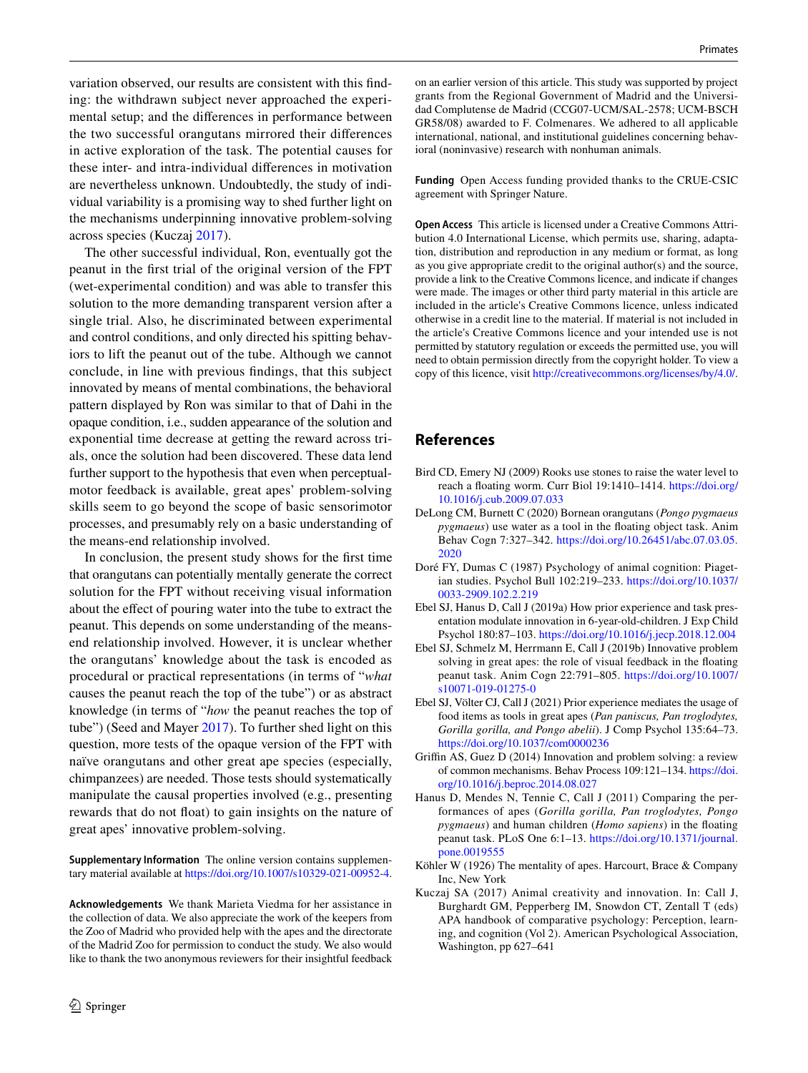variation observed, our results are consistent with this fnding: the withdrawn subject never approached the experimental setup; and the diferences in performance between the two successful orangutans mirrored their diferences in active exploration of the task. The potential causes for these inter- and intra-individual diferences in motivation are nevertheless unknown. Undoubtedly, the study of individual variability is a promising way to shed further light on the mechanisms underpinning innovative problem-solving across species (Kuczaj [2017\)](#page-5-9).

The other successful individual, Ron, eventually got the peanut in the frst trial of the original version of the FPT (wet-experimental condition) and was able to transfer this solution to the more demanding transparent version after a single trial. Also, he discriminated between experimental and control conditions, and only directed his spitting behaviors to lift the peanut out of the tube. Although we cannot conclude, in line with previous fndings, that this subject innovated by means of mental combinations, the behavioral pattern displayed by Ron was similar to that of Dahi in the opaque condition, i.e., sudden appearance of the solution and exponential time decrease at getting the reward across trials, once the solution had been discovered. These data lend further support to the hypothesis that even when perceptualmotor feedback is available, great apes' problem-solving skills seem to go beyond the scope of basic sensorimotor processes, and presumably rely on a basic understanding of the means-end relationship involved.

In conclusion, the present study shows for the frst time that orangutans can potentially mentally generate the correct solution for the FPT without receiving visual information about the effect of pouring water into the tube to extract the peanut. This depends on some understanding of the meansend relationship involved. However, it is unclear whether the orangutans' knowledge about the task is encoded as procedural or practical representations (in terms of "*what* causes the peanut reach the top of the tube") or as abstract knowledge (in terms of "*how* the peanut reaches the top of tube") (Seed and Mayer [2017\)](#page-6-14). To further shed light on this question, more tests of the opaque version of the FPT with naïve orangutans and other great ape species (especially, chimpanzees) are needed. Those tests should systematically manipulate the causal properties involved (e.g., presenting rewards that do not foat) to gain insights on the nature of great apes' innovative problem-solving.

**Supplementary Information** The online version contains supplementary material available at<https://doi.org/10.1007/s10329-021-00952-4>.

**Acknowledgements** We thank Marieta Viedma for her assistance in the collection of data. We also appreciate the work of the keepers from the Zoo of Madrid who provided help with the apes and the directorate of the Madrid Zoo for permission to conduct the study. We also would like to thank the two anonymous reviewers for their insightful feedback on an earlier version of this article. This study was supported by project grants from the Regional Government of Madrid and the Universidad Complutense de Madrid (CCG07-UCM/SAL-2578; UCM-BSCH GR58/08) awarded to F. Colmenares. We adhered to all applicable international, national, and institutional guidelines concerning behavioral (noninvasive) research with nonhuman animals.

**Funding** Open Access funding provided thanks to the CRUE-CSIC agreement with Springer Nature.

**Open Access** This article is licensed under a Creative Commons Attribution 4.0 International License, which permits use, sharing, adaptation, distribution and reproduction in any medium or format, as long as you give appropriate credit to the original author(s) and the source, provide a link to the Creative Commons licence, and indicate if changes were made. The images or other third party material in this article are included in the article's Creative Commons licence, unless indicated otherwise in a credit line to the material. If material is not included in the article's Creative Commons licence and your intended use is not permitted by statutory regulation or exceeds the permitted use, you will need to obtain permission directly from the copyright holder. To view a copy of this licence, visit<http://creativecommons.org/licenses/by/4.0/>.

## **References**

- <span id="page-5-5"></span>Bird CD, Emery NJ (2009) Rooks use stones to raise the water level to reach a foating worm. Curr Biol 19:1410–1414. [https://doi.org/](https://doi.org/10.1016/j.cub.2009.07.033) [10.1016/j.cub.2009.07.033](https://doi.org/10.1016/j.cub.2009.07.033)
- <span id="page-5-2"></span>DeLong CM, Burnett C (2020) Bornean orangutans (*Pongo pygmaeus pygmaeus*) use water as a tool in the foating object task. Anim Behav Cogn 7:327–342. [https://doi.org/10.26451/abc.07.03.05.](https://doi.org/10.26451/abc.07.03.05.2020) [2020](https://doi.org/10.26451/abc.07.03.05.2020)
- <span id="page-5-1"></span>Doré FY, Dumas C (1987) Psychology of animal cognition: Piagetian studies. Psychol Bull 102:219–233. [https://doi.org/10.1037/](https://doi.org/10.1037/0033-2909.102.2.219) [0033-2909.102.2.219](https://doi.org/10.1037/0033-2909.102.2.219)
- <span id="page-5-6"></span>Ebel SJ, Hanus D, Call J (2019a) How prior experience and task presentation modulate innovation in 6-year-old-children. J Exp Child Psychol 180:87–103.<https://doi.org/10.1016/j.jecp.2018.12.004>
- <span id="page-5-3"></span>Ebel SJ, Schmelz M, Herrmann E, Call J (2019b) Innovative problem solving in great apes: the role of visual feedback in the foating peanut task. Anim Cogn 22:791–805. [https://doi.org/10.1007/](https://doi.org/10.1007/s10071-019-01275-0) [s10071-019-01275-0](https://doi.org/10.1007/s10071-019-01275-0)
- <span id="page-5-7"></span>Ebel SJ, Völter CJ, Call J (2021) Prior experience mediates the usage of food items as tools in great apes (*Pan paniscus, Pan troglodytes, Gorilla gorilla, and Pongo abelii*). J Comp Psychol 135:64–73. <https://doi.org/10.1037/com0000236>
- <span id="page-5-8"></span>Griffin AS, Guez D (2014) Innovation and problem solving: a review of common mechanisms. Behav Process 109:121–134. [https://doi.](https://doi.org/10.1016/j.beproc.2014.08.027) [org/10.1016/j.beproc.2014.08.027](https://doi.org/10.1016/j.beproc.2014.08.027)
- <span id="page-5-4"></span>Hanus D, Mendes N, Tennie C, Call J (2011) Comparing the performances of apes (*Gorilla gorilla, Pan troglodytes, Pongo pygmaeus*) and human children (*Homo sapiens*) in the foating peanut task. PLoS One 6:1–13. [https://doi.org/10.1371/journal.](https://doi.org/10.1371/journal.pone.0019555) [pone.0019555](https://doi.org/10.1371/journal.pone.0019555)
- <span id="page-5-0"></span>Köhler W (1926) The mentality of apes. Harcourt, Brace & Company Inc, New York
- <span id="page-5-9"></span>Kuczaj SA (2017) Animal creativity and innovation. In: Call J, Burghardt GM, Pepperberg IM, Snowdon CT, Zentall T (eds) APA handbook of comparative psychology: Perception, learning, and cognition (Vol 2). American Psychological Association, Washington, pp 627–641